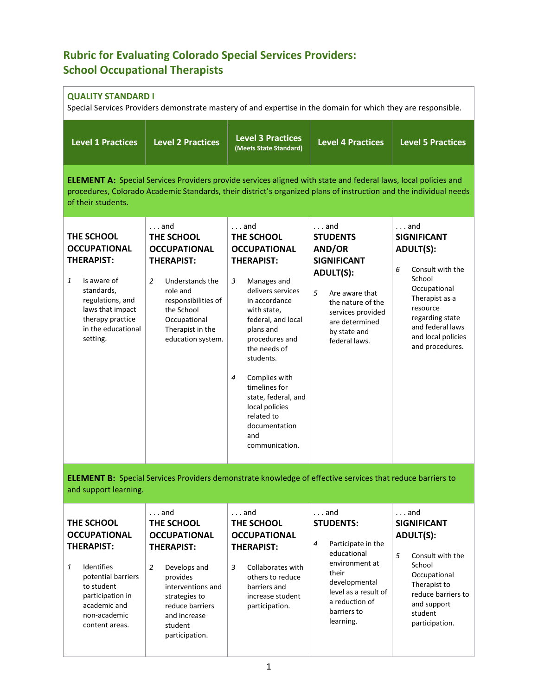## **Rubric for Evaluating Colorado Special Services Providers: School Occupational Therapists**

## **QUALITY STANDARD I**

Special Services Providers demonstrate mastery of and expertise in the domain for which they are responsible.

| <b>Level 1 Practices</b>                                                                                                                                                                                                                                         | <b>Level 2 Practices</b>                                                                                                                                                                                                   | <b>Level 3 Practices</b><br>(Meets State Standard)                                                                                                                                                                                                                                                                                                                        | <b>Level 4 Practices</b>                                                                                                                                                                                | <b>Level 5 Practices</b>                                                                                                                                                                                                |  |
|------------------------------------------------------------------------------------------------------------------------------------------------------------------------------------------------------------------------------------------------------------------|----------------------------------------------------------------------------------------------------------------------------------------------------------------------------------------------------------------------------|---------------------------------------------------------------------------------------------------------------------------------------------------------------------------------------------------------------------------------------------------------------------------------------------------------------------------------------------------------------------------|---------------------------------------------------------------------------------------------------------------------------------------------------------------------------------------------------------|-------------------------------------------------------------------------------------------------------------------------------------------------------------------------------------------------------------------------|--|
| <b>ELEMENT A:</b> Special Services Providers provide services aligned with state and federal laws, local policies and<br>procedures, Colorado Academic Standards, their district's organized plans of instruction and the individual needs<br>of their students. |                                                                                                                                                                                                                            |                                                                                                                                                                                                                                                                                                                                                                           |                                                                                                                                                                                                         |                                                                                                                                                                                                                         |  |
| THE SCHOOL<br><b>OCCUPATIONAL</b><br><b>THERAPIST:</b><br>Is aware of<br>1<br>standards,<br>regulations, and<br>laws that impact<br>therapy practice<br>in the educational<br>setting.                                                                           | $\ldots$ and<br>THE SCHOOL<br><b>OCCUPATIONAL</b><br><b>THERAPIST:</b><br>$\overline{2}$<br>Understands the<br>role and<br>responsibilities of<br>the School<br>Occupational<br>Therapist in the<br>education system.      | $\ldots$ and<br>THE SCHOOL<br><b>OCCUPATIONAL</b><br><b>THERAPIST:</b><br>3<br>Manages and<br>delivers services<br>in accordance<br>with state,<br>federal, and local<br>plans and<br>procedures and<br>the needs of<br>students.<br>Complies with<br>4<br>timelines for<br>state, federal, and<br>local policies<br>related to<br>documentation<br>and<br>communication. | $\ldots$ and<br><b>STUDENTS</b><br>AND/OR<br><b>SIGNIFICANT</b><br><b>ADULT(S):</b><br>5<br>Are aware that<br>the nature of the<br>services provided<br>are determined<br>by state and<br>federal laws. | $\ldots$ and<br><b>SIGNIFICANT</b><br><b>ADULT(S):</b><br>Consult with the<br>6<br>School<br>Occupational<br>Therapist as a<br>resource<br>regarding state<br>and federal laws<br>and local policies<br>and procedures. |  |
| and support learning.                                                                                                                                                                                                                                            |                                                                                                                                                                                                                            | <b>ELEMENT B:</b> Special Services Providers demonstrate knowledge of effective services that reduce barriers to                                                                                                                                                                                                                                                          |                                                                                                                                                                                                         |                                                                                                                                                                                                                         |  |
| THE SCHOOL<br><b>OCCUPATIONAL</b><br><b>THERAPIST:</b><br>Identifies<br>1<br>potential barriers<br>to student<br>participation in<br>academic and<br>non-academic<br>content areas.                                                                              | $\ldots$ and<br>THE SCHOOL<br><b>OCCUPATIONAL</b><br><b>THERAPIST:</b><br>$\overline{2}$<br>Develops and<br>provides<br>interventions and<br>strategies to<br>reduce barriers<br>and increase<br>student<br>participation. | $\ldots$ and<br>THE SCHOOL<br><b>OCCUPATIONAL</b><br><b>THERAPIST:</b><br>3<br>Collaborates with<br>others to reduce<br>barriers and<br>increase student<br>participation.                                                                                                                                                                                                | $\ldots$ and<br><b>STUDENTS:</b><br>4<br>Participate in the<br>educational<br>environment at<br>their<br>developmental<br>level as a result of<br>a reduction of<br>barriers to<br>learning.            | $\ldots$ and<br><b>SIGNIFICANT</b><br><b>ADULT(S):</b><br>5<br>Consult with the<br>School<br>Occupational<br>Therapist to<br>reduce barriers to<br>and support<br>student<br>participation.                             |  |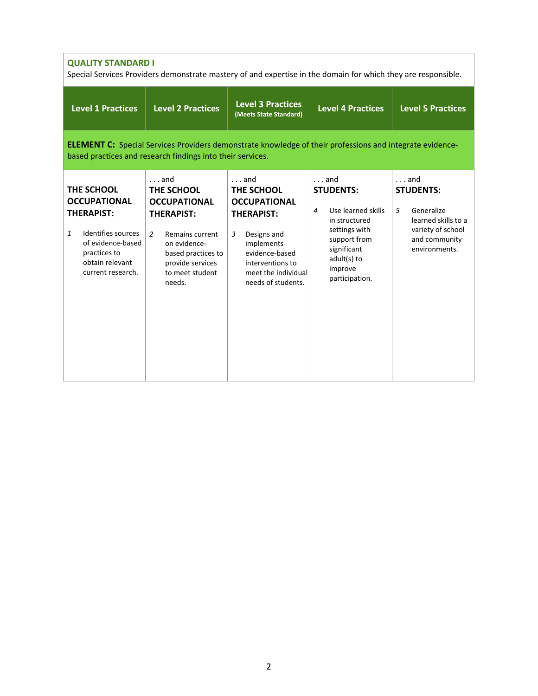| <b>QUALITY STANDARD I</b><br>Special Services Providers demonstrate mastery of and expertise in the domain for which they are responsible.                                |                                                                                                                                                                                                    |                                                                                                                                                                                             |                                                                                                                                                                                       |                                                                                                                                   |
|---------------------------------------------------------------------------------------------------------------------------------------------------------------------------|----------------------------------------------------------------------------------------------------------------------------------------------------------------------------------------------------|---------------------------------------------------------------------------------------------------------------------------------------------------------------------------------------------|---------------------------------------------------------------------------------------------------------------------------------------------------------------------------------------|-----------------------------------------------------------------------------------------------------------------------------------|
| <b>Level 1 Practices</b>                                                                                                                                                  | <b>Level 2 Practices</b>                                                                                                                                                                           | <b>Level 3 Practices</b><br>(Meets State Standard)                                                                                                                                          | <b>Level 4 Practices</b>                                                                                                                                                              | <b>Level 5 Practices</b>                                                                                                          |
|                                                                                                                                                                           | <b>ELEMENT C:</b> Special Services Providers demonstrate knowledge of their professions and integrate evidence-<br>based practices and research findings into their services.                      |                                                                                                                                                                                             |                                                                                                                                                                                       |                                                                                                                                   |
| THE SCHOOL<br><b>OCCUPATIONAL</b><br><b>THERAPIST:</b><br>$\mathbf{1}$<br>Identifies sources<br>of evidence-based<br>practices to<br>obtain relevant<br>current research. | $\ldots$ and<br>THE SCHOOL<br><b>OCCUPATIONAL</b><br><b>THERAPIST:</b><br>$\overline{2}$<br>Remains current<br>on evidence-<br>based practices to<br>provide services<br>to meet student<br>needs. | $\ldots$ and<br>THE SCHOOL<br><b>OCCUPATIONAL</b><br><b>THERAPIST:</b><br>Designs and<br>3<br>implements<br>evidence-based<br>interventions to<br>meet the individual<br>needs of students. | $\ldots$ and<br><b>STUDENTS:</b><br>Use learned skills<br>$\overline{4}$<br>in structured<br>settings with<br>support from<br>significant<br>adult(s) to<br>improve<br>participation. | $\ldots$ and<br><b>STUDENTS:</b><br>Generalize<br>5<br>learned skills to a<br>variety of school<br>and community<br>environments. |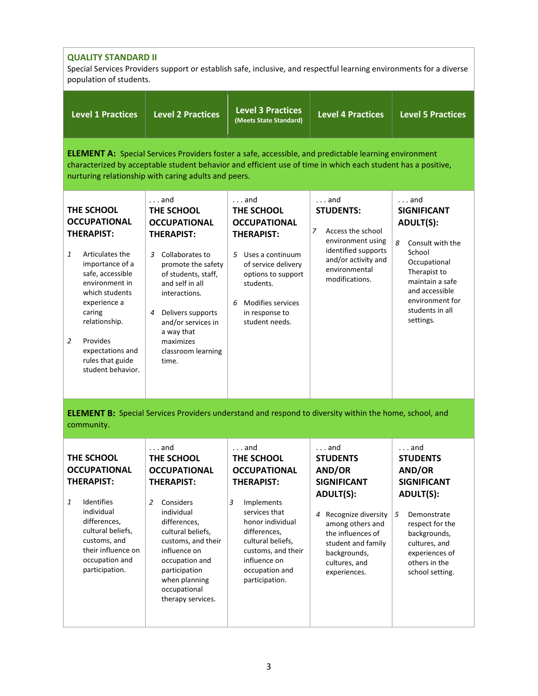| <b>QUALITY STANDARD II</b><br>Special Services Providers support or establish safe, inclusive, and respectful learning environments for a diverse<br>population of students.                                                                                                                    |                                                                                                                                                                                                                                                                                        |                                                                                                                                                                                                                              |                                                                                                                                                                  |                                                                                                                                                                                                                   |
|-------------------------------------------------------------------------------------------------------------------------------------------------------------------------------------------------------------------------------------------------------------------------------------------------|----------------------------------------------------------------------------------------------------------------------------------------------------------------------------------------------------------------------------------------------------------------------------------------|------------------------------------------------------------------------------------------------------------------------------------------------------------------------------------------------------------------------------|------------------------------------------------------------------------------------------------------------------------------------------------------------------|-------------------------------------------------------------------------------------------------------------------------------------------------------------------------------------------------------------------|
| <b>Level 1 Practices</b>                                                                                                                                                                                                                                                                        | <b>Level 2 Practices</b>                                                                                                                                                                                                                                                               | <b>Level 3 Practices</b><br>(Meets State Standard)                                                                                                                                                                           | <b>Level 4 Practices</b>                                                                                                                                         | <b>Level 5 Practices</b>                                                                                                                                                                                          |
|                                                                                                                                                                                                                                                                                                 | nurturing relationship with caring adults and peers.                                                                                                                                                                                                                                   | <b>ELEMENT A:</b> Special Services Providers foster a safe, accessible, and predictable learning environment<br>characterized by acceptable student behavior and efficient use of time in which each student has a positive, |                                                                                                                                                                  |                                                                                                                                                                                                                   |
| THE SCHOOL<br><b>OCCUPATIONAL</b><br><b>THERAPIST:</b><br>1<br>Articulates the<br>importance of a<br>safe, accessible<br>environment in<br>which students<br>experience a<br>caring<br>relationship.<br>$\overline{2}$<br>Provides<br>expectations and<br>rules that guide<br>student behavior. | $\ldots$ and<br>THE SCHOOL<br><b>OCCUPATIONAL</b><br><b>THERAPIST:</b><br>3 Collaborates to<br>promote the safety<br>of students, staff,<br>and self in all<br>interactions.<br>Delivers supports<br>4<br>and/or services in<br>a way that<br>maximizes<br>classroom learning<br>time. | $\ldots$ and<br>THE SCHOOL<br><b>OCCUPATIONAL</b><br><b>THERAPIST:</b><br>5 Uses a continuum<br>of service delivery<br>options to support<br>students.<br><b>Modifies services</b><br>6<br>in response to<br>student needs.  | $\ldots$ and<br><b>STUDENTS:</b><br>Access the school<br>7<br>environment using<br>identified supports<br>and/or activity and<br>environmental<br>modifications. | $\ldots$ and<br><b>SIGNIFICANT</b><br><b>ADULT(S):</b><br>8<br>Consult with the<br>School<br>Occupational<br>Therapist to<br>maintain a safe<br>and accessible<br>environment for<br>students in all<br>settings. |
| community.                                                                                                                                                                                                                                                                                      |                                                                                                                                                                                                                                                                                        | <b>ELEMENT B:</b> Special Services Providers understand and respond to diversity within the home, school, and                                                                                                                |                                                                                                                                                                  |                                                                                                                                                                                                                   |
| THE SCHOOL<br><b>OCCUPATIONAL</b><br><b>THERAPIST:</b><br>Identifies<br>1<br>individual<br>differences,<br>cultural beliefs,<br>customs, and                                                                                                                                                    | $\ldots$ and<br>THE SCHOOL<br><b>OCCUPATIONAL</b><br><b>THERAPIST:</b><br>Considers<br>2<br>individual<br>differences,<br>cultural beliefs,                                                                                                                                            | $\ldots$ and<br>THE SCHOOL<br><b>OCCUPATIONAL</b><br><b>THERAPIST:</b><br>3<br>Implements<br>services that<br>honor individual<br>differences,                                                                               | $\ldots$ and<br><b>STUDENTS</b><br>AND/OR<br><b>SIGNIFICANT</b><br><b>ADULT(S):</b><br>Recognize diversity<br>4<br>among others and<br>the influences of         | $\ldots$ and<br><b>STUDENTS</b><br>AND/OR<br><b>SIGNIFICANT</b><br><b>ADULT(S):</b><br>5<br>Demonstrate<br>respect for the<br>backgrounds,                                                                        |
| their influence on<br>occupation and<br>participation.                                                                                                                                                                                                                                          | customs, and their<br>influence on<br>occupation and<br>participation<br>when planning<br>occupational<br>therapy services.                                                                                                                                                            | cultural beliefs,<br>customs, and their<br>influence on<br>occupation and<br>participation.                                                                                                                                  | student and family<br>backgrounds,<br>cultures, and<br>experiences.                                                                                              | cultures, and<br>experiences of<br>others in the<br>school setting.                                                                                                                                               |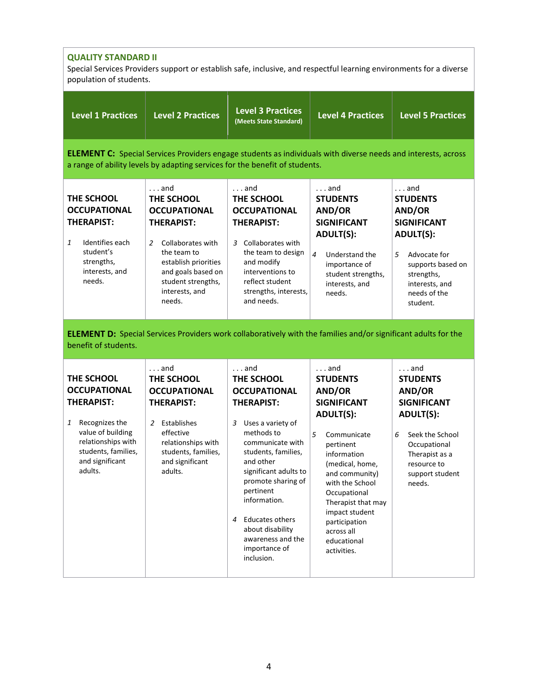| <b>QUALITY STANDARD II</b> |
|----------------------------|
|                            |

Special Services Providers support or establish safe, inclusive, and respectful learning environments for a diverse population of students.

| <b>Level 1 Practices</b>                                                                                                                                                      | <b>Level 2 Practices</b>                                                                                                                                                                                        | <b>Level 3 Practices</b><br>(Meets State Standard)                                                                                                                                                                                                                                                                                                        | <b>Level 4 Practices</b>                                                                                                                                                                                                                                                                                         | <b>Level 5 Practices</b>                                                                                                                                                                  |  |  |
|-------------------------------------------------------------------------------------------------------------------------------------------------------------------------------|-----------------------------------------------------------------------------------------------------------------------------------------------------------------------------------------------------------------|-----------------------------------------------------------------------------------------------------------------------------------------------------------------------------------------------------------------------------------------------------------------------------------------------------------------------------------------------------------|------------------------------------------------------------------------------------------------------------------------------------------------------------------------------------------------------------------------------------------------------------------------------------------------------------------|-------------------------------------------------------------------------------------------------------------------------------------------------------------------------------------------|--|--|
|                                                                                                                                                                               | <b>ELEMENT C:</b> Special Services Providers engage students as individuals with diverse needs and interests, across<br>a range of ability levels by adapting services for the benefit of students.             |                                                                                                                                                                                                                                                                                                                                                           |                                                                                                                                                                                                                                                                                                                  |                                                                                                                                                                                           |  |  |
| THE SCHOOL<br><b>OCCUPATIONAL</b><br><b>THERAPIST:</b><br>Identifies each<br>1<br>student's<br>strengths,<br>interests, and<br>needs.                                         | $\ldots$ and<br>THE SCHOOL<br><b>OCCUPATIONAL</b><br><b>THERAPIST:</b><br>Collaborates with<br>2<br>the team to<br>establish priorities<br>and goals based on<br>student strengths,<br>interests, and<br>needs. | $\ldots$ and<br>THE SCHOOL<br><b>OCCUPATIONAL</b><br><b>THERAPIST:</b><br>Collaborates with<br>3<br>the team to design<br>and modify<br>interventions to<br>reflect student<br>strengths, interests,<br>and needs.                                                                                                                                        | $\ldots$ and<br><b>STUDENTS</b><br>AND/OR<br><b>SIGNIFICANT</b><br><b>ADULT(S):</b><br>$\overline{4}$<br>Understand the<br>importance of<br>student strengths,<br>interests, and<br>needs.                                                                                                                       | $\ldots$ and<br><b>STUDENTS</b><br>AND/OR<br><b>SIGNIFICANT</b><br><b>ADULT(S):</b><br>5<br>Advocate for<br>supports based on<br>strengths,<br>interests, and<br>needs of the<br>student. |  |  |
| benefit of students.                                                                                                                                                          | <b>ELEMENT D:</b> Special Services Providers work collaboratively with the families and/or significant adults for the                                                                                           |                                                                                                                                                                                                                                                                                                                                                           |                                                                                                                                                                                                                                                                                                                  |                                                                                                                                                                                           |  |  |
| THE SCHOOL<br><b>OCCUPATIONAL</b><br><b>THERAPIST:</b><br>Recognizes the<br>1<br>value of building<br>relationships with<br>students, families,<br>and significant<br>adults. | $\ldots$ and<br>THE SCHOOL<br><b>OCCUPATIONAL</b><br><b>THERAPIST:</b><br>2 Establishes<br>effective<br>relationships with<br>students, families,<br>and significant<br>adults.                                 | $\ldots$ and<br>THE SCHOOL<br><b>OCCUPATIONAL</b><br><b>THERAPIST:</b><br>Uses a variety of<br>3<br>methods to<br>communicate with<br>students, families,<br>and other<br>significant adults to<br>promote sharing of<br>pertinent<br>information.<br><b>Educates others</b><br>4<br>about disability<br>awareness and the<br>importance of<br>inclusion. | $\ldots$ and<br><b>STUDENTS</b><br>AND/OR<br><b>SIGNIFICANT</b><br><b>ADULT(S):</b><br>5<br>Communicate<br>pertinent<br>information<br>(medical, home,<br>and community)<br>with the School<br>Occupational<br>Therapist that may<br>impact student<br>participation<br>across all<br>educational<br>activities. | $\ldots$ and<br><b>STUDENTS</b><br>AND/OR<br><b>SIGNIFICANT</b><br><b>ADULT(S):</b><br>6<br>Seek the School<br>Occupational<br>Therapist as a<br>resource to<br>support student<br>needs. |  |  |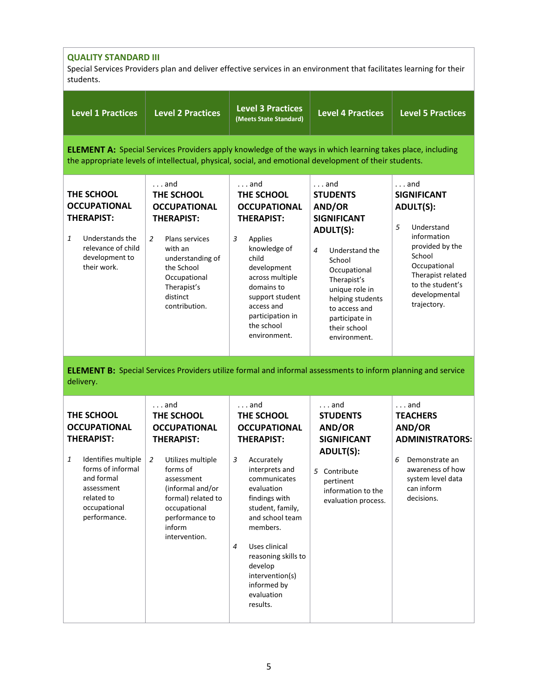| <b>QUALITY STANDARD III</b><br>Special Services Providers plan and deliver effective services in an environment that facilitates learning for their<br>students.                  |                                                                                                                                                                                                                                                |                                                                                                                                                                                                                                                                                                                                   |                                                                                                                                                                                                                                                              |                                                                                                                                                                                                                |
|-----------------------------------------------------------------------------------------------------------------------------------------------------------------------------------|------------------------------------------------------------------------------------------------------------------------------------------------------------------------------------------------------------------------------------------------|-----------------------------------------------------------------------------------------------------------------------------------------------------------------------------------------------------------------------------------------------------------------------------------------------------------------------------------|--------------------------------------------------------------------------------------------------------------------------------------------------------------------------------------------------------------------------------------------------------------|----------------------------------------------------------------------------------------------------------------------------------------------------------------------------------------------------------------|
| <b>Level 1 Practices</b>                                                                                                                                                          | <b>Level 2 Practices</b>                                                                                                                                                                                                                       | <b>Level 3 Practices</b><br>(Meets State Standard)                                                                                                                                                                                                                                                                                | <b>Level 4 Practices</b>                                                                                                                                                                                                                                     | <b>Level 5 Practices</b>                                                                                                                                                                                       |
|                                                                                                                                                                                   | <b>ELEMENT A:</b> Special Services Providers apply knowledge of the ways in which learning takes place, including<br>the appropriate levels of intellectual, physical, social, and emotional development of their students.                    |                                                                                                                                                                                                                                                                                                                                   |                                                                                                                                                                                                                                                              |                                                                                                                                                                                                                |
| THE SCHOOL<br><b>OCCUPATIONAL</b><br><b>THERAPIST:</b><br>$\mathbf{1}$<br>Understands the<br>relevance of child<br>development to<br>their work.                                  | $\ldots$ and<br>THE SCHOOL<br><b>OCCUPATIONAL</b><br><b>THERAPIST:</b><br>$\overline{2}$<br>Plans services<br>with an<br>understanding of<br>the School<br>Occupational<br>Therapist's<br>distinct<br>contribution.                            | $\ldots$ and<br>THE SCHOOL<br><b>OCCUPATIONAL</b><br><b>THERAPIST:</b><br>3<br>Applies<br>knowledge of<br>child<br>development<br>across multiple<br>domains to<br>support student<br>access and<br>participation in<br>the school<br>environment.                                                                                | $\ldots$ and<br><b>STUDENTS</b><br>AND/OR<br><b>SIGNIFICANT</b><br><b>ADULT(S):</b><br>Understand the<br>4<br>School<br>Occupational<br>Therapist's<br>unique role in<br>helping students<br>to access and<br>participate in<br>their school<br>environment. | $\ldots$ and<br><b>SIGNIFICANT</b><br><b>ADULT(S):</b><br>5<br>Understand<br>information<br>provided by the<br>School<br>Occupational<br>Therapist related<br>to the student's<br>developmental<br>trajectory. |
| delivery.                                                                                                                                                                         | <b>ELEMENT B:</b> Special Services Providers utilize formal and informal assessments to inform planning and service                                                                                                                            |                                                                                                                                                                                                                                                                                                                                   |                                                                                                                                                                                                                                                              |                                                                                                                                                                                                                |
| THE SCHOOL<br><b>OCCUPATIONAL</b><br><b>THERAPIST:</b><br>Identifies multiple<br>1<br>forms of informal<br>and formal<br>assessment<br>related to<br>occupational<br>performance. | $\ldots$ and<br>THE SCHOOL<br><b>OCCUPATIONAL</b><br><b>THERAPIST:</b><br>$\overline{2}$<br>Utilizes multiple<br>forms of<br>assessment<br>(informal and/or<br>formal) related to<br>occupational<br>performance to<br>inform<br>intervention. | $\ldots$ and<br>THE SCHOOL<br><b>OCCUPATIONAL</b><br><b>THERAPIST:</b><br>Accurately<br>3<br>interprets and<br>communicates<br>evaluation<br>findings with<br>student, family,<br>and school team<br>members.<br>4<br>Uses clinical<br>reasoning skills to<br>develop<br>intervention(s)<br>informed by<br>evaluation<br>results. | . and<br><b>STUDENTS</b><br>AND/OR<br><b>SIGNIFICANT</b><br><b>ADULT(S):</b><br>5 Contribute<br>pertinent<br>information to the<br>evaluation process.                                                                                                       | $\ldots$ and<br><b>TEACHERS</b><br><b>AND/OR</b><br><b>ADMINISTRATORS:</b><br>6<br>Demonstrate an<br>awareness of how<br>system level data<br>can inform<br>decisions.                                         |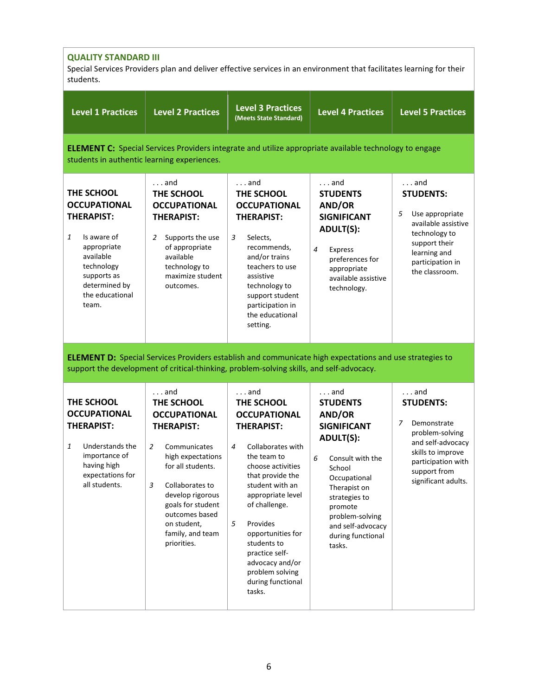| <b>QUALITY STANDARD III</b><br>Special Services Providers plan and deliver effective services in an environment that facilitates learning for their<br>students.                 |                                                                                                                                                                                                                                                                                         |                                                                                                                                                                                                                                                                                                                                                               |                                                                                                                                                                                                                                                           |                                                                                                                                                                                |
|----------------------------------------------------------------------------------------------------------------------------------------------------------------------------------|-----------------------------------------------------------------------------------------------------------------------------------------------------------------------------------------------------------------------------------------------------------------------------------------|---------------------------------------------------------------------------------------------------------------------------------------------------------------------------------------------------------------------------------------------------------------------------------------------------------------------------------------------------------------|-----------------------------------------------------------------------------------------------------------------------------------------------------------------------------------------------------------------------------------------------------------|--------------------------------------------------------------------------------------------------------------------------------------------------------------------------------|
| <b>Level 1 Practices</b>                                                                                                                                                         | <b>Level 2 Practices</b>                                                                                                                                                                                                                                                                | <b>Level 3 Practices</b><br>(Meets State Standard)                                                                                                                                                                                                                                                                                                            | <b>Level 4 Practices</b>                                                                                                                                                                                                                                  | <b>Level 5 Practices</b>                                                                                                                                                       |
| students in authentic learning experiences.                                                                                                                                      | <b>ELEMENT C:</b> Special Services Providers integrate and utilize appropriate available technology to engage                                                                                                                                                                           |                                                                                                                                                                                                                                                                                                                                                               |                                                                                                                                                                                                                                                           |                                                                                                                                                                                |
| THE SCHOOL<br><b>OCCUPATIONAL</b><br><b>THERAPIST:</b><br>1<br>Is aware of<br>appropriate<br>available<br>technology<br>supports as<br>determined by<br>the educational<br>team. | $\ldots$ and<br>THE SCHOOL<br><b>OCCUPATIONAL</b><br><b>THERAPIST:</b><br>2<br>Supports the use<br>of appropriate<br>available<br>technology to<br>maximize student<br>outcomes.                                                                                                        | $\ldots$ and<br>THE SCHOOL<br><b>OCCUPATIONAL</b><br><b>THERAPIST:</b><br>3<br>Selects,<br>recommends,<br>and/or trains<br>teachers to use<br>assistive<br>technology to<br>support student<br>participation in<br>the educational<br>setting.                                                                                                                | $\ldots$ and<br><b>STUDENTS</b><br>AND/OR<br><b>SIGNIFICANT</b><br><b>ADULT(S):</b><br>4<br>Express<br>preferences for<br>appropriate<br>available assistive<br>technology.                                                                               | $\ldots$ and<br><b>STUDENTS:</b><br>Use appropriate<br>5<br>available assistive<br>technology to<br>support their<br>learning and<br>participation in<br>the classroom.        |
|                                                                                                                                                                                  | <b>ELEMENT D:</b> Special Services Providers establish and communicate high expectations and use strategies to<br>support the development of critical-thinking, problem-solving skills, and self-advocacy.                                                                              |                                                                                                                                                                                                                                                                                                                                                               |                                                                                                                                                                                                                                                           |                                                                                                                                                                                |
| THE SCHOOL<br><b>OCCUPATIONAL</b><br><b>THERAPIST:</b><br>1<br>Understands the<br>importance of<br>having high<br>expectations for<br>all students.                              | $\ldots$ and<br>THE SCHOOL<br><b>OCCUPATIONAL</b><br><b>THERAPIST:</b><br>$\overline{2}$<br>Communicates<br>high expectations<br>for all students.<br>3<br>Collaborates to<br>develop rigorous<br>goals for student<br>outcomes based<br>on student,<br>family, and team<br>priorities. | $\ldots$ and<br>THE SCHOOL<br><b>OCCUPATIONAL</b><br><b>THERAPIST:</b><br>Collaborates with<br>4<br>the team to<br>choose activities<br>that provide the<br>student with an<br>appropriate level<br>of challenge.<br>5<br>Provides<br>opportunities for<br>students to<br>practice self-<br>advocacy and/or<br>problem solving<br>during functional<br>tasks. | $\ldots$ and<br><b>STUDENTS</b><br>AND/OR<br><b>SIGNIFICANT</b><br><b>ADULT(S):</b><br>6<br>Consult with the<br>School<br>Occupational<br>Therapist on<br>strategies to<br>promote<br>problem-solving<br>and self-advocacy<br>during functional<br>tasks. | $\ldots$ and<br><b>STUDENTS:</b><br>Demonstrate<br>7<br>problem-solving<br>and self-advocacy<br>skills to improve<br>participation with<br>support from<br>significant adults. |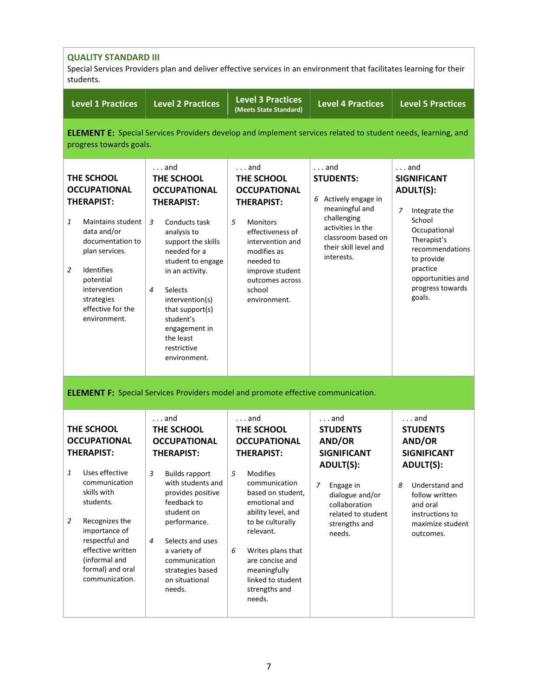| <b>QUALITY STANDARD III</b><br>Special Services Providers plan and deliver effective services in an environment that facilitates learning for their<br>students.                                                                               |                                                                                                                                                                                                                                                                                                                           |                                                                                                                                                                                                                                                                  |                                                                                                                                                                                            |                                                                                                                                                                                                                       |
|------------------------------------------------------------------------------------------------------------------------------------------------------------------------------------------------------------------------------------------------|---------------------------------------------------------------------------------------------------------------------------------------------------------------------------------------------------------------------------------------------------------------------------------------------------------------------------|------------------------------------------------------------------------------------------------------------------------------------------------------------------------------------------------------------------------------------------------------------------|--------------------------------------------------------------------------------------------------------------------------------------------------------------------------------------------|-----------------------------------------------------------------------------------------------------------------------------------------------------------------------------------------------------------------------|
| <b>Level 1 Practices</b>                                                                                                                                                                                                                       | <b>Level 2 Practices</b>                                                                                                                                                                                                                                                                                                  | <b>Level 3 Practices</b><br>(Meets State Standard)                                                                                                                                                                                                               | <b>Level 4 Practices</b>                                                                                                                                                                   | <b>Level 5 Practices</b>                                                                                                                                                                                              |
| progress towards goals.                                                                                                                                                                                                                        |                                                                                                                                                                                                                                                                                                                           |                                                                                                                                                                                                                                                                  | <b>ELEMENT E:</b> Special Services Providers develop and implement services related to student needs, learning, and                                                                        |                                                                                                                                                                                                                       |
| THE SCHOOL<br><b>OCCUPATIONAL</b><br><b>THERAPIST:</b><br>1<br>Maintains student<br>data and/or<br>documentation to<br>plan services.<br>Identifies<br>2<br>potential<br>intervention<br>strategies<br>effective for the<br>environment.       | $\ldots$ and<br>THE SCHOOL<br><b>OCCUPATIONAL</b><br><b>THERAPIST:</b><br>3<br>Conducts task<br>analysis to<br>support the skills<br>needed for a<br>student to engage<br>in an activity.<br>Selects<br>4<br>intervention(s)<br>that support(s)<br>student's<br>engagement in<br>the least<br>restrictive<br>environment. | $\ldots$ and<br>THE SCHOOL<br><b>OCCUPATIONAL</b><br><b>THERAPIST:</b><br>5<br><b>Monitors</b><br>effectiveness of<br>intervention and<br>modifies as<br>needed to<br>improve student<br>outcomes across<br>school<br>environment.                               | $\ldots$ and<br><b>STUDENTS:</b><br>6 Actively engage in<br>meaningful and<br>challenging<br>activities in the<br>classroom based on<br>their skill level and<br>interests.                | $\ldots$ and<br><b>SIGNIFICANT</b><br><b>ADULT(S):</b><br>7<br>Integrate the<br>School<br>Occupational<br>Therapist's<br>recommendations<br>to provide<br>practice<br>opportunities and<br>progress towards<br>goals. |
|                                                                                                                                                                                                                                                |                                                                                                                                                                                                                                                                                                                           | <b>ELEMENT F:</b> Special Services Providers model and promote effective communication.                                                                                                                                                                          |                                                                                                                                                                                            |                                                                                                                                                                                                                       |
| THE SCHOOL<br><b>OCCUPATIONAL</b><br><b>THERAPIST:</b><br>Uses effective<br>1<br>communication<br>skills with<br>students.<br>2<br>Recognizes the<br>importance of<br>respectful and<br>effective written<br>(informal and<br>formal) and oral | $\ldots$ and<br>THE SCHOOL<br><b>OCCUPATIONAL</b><br><b>THERAPIST:</b><br>3<br><b>Builds rapport</b><br>with students and<br>provides positive<br>feedback to<br>student on<br>performance.<br>4<br>Selects and uses<br>a variety of<br>communication<br>strategies based                                                 | and<br>THE SCHOOL<br><b>OCCUPATIONAL</b><br><b>THERAPIST:</b><br>5<br><b>Modifies</b><br>communication<br>based on student,<br>emotional and<br>ability level, and<br>to be culturally<br>relevant.<br>Writes plans that<br>6<br>are concise and<br>meaningfully | $\ldots$ and<br><b>STUDENTS</b><br>AND/OR<br><b>SIGNIFICANT</b><br><b>ADULT(S):</b><br>7<br>Engage in<br>dialogue and/or<br>collaboration<br>related to student<br>strengths and<br>needs. | $\ldots$ and<br><b>STUDENTS</b><br>AND/OR<br><b>SIGNIFICANT</b><br><b>ADULT(S):</b><br>Understand and<br>8<br>follow written<br>and oral<br>instructions to<br>maximize student<br>outcomes.                          |
| communication.                                                                                                                                                                                                                                 | on situational<br>needs.                                                                                                                                                                                                                                                                                                  | linked to student<br>strengths and<br>needs.                                                                                                                                                                                                                     |                                                                                                                                                                                            |                                                                                                                                                                                                                       |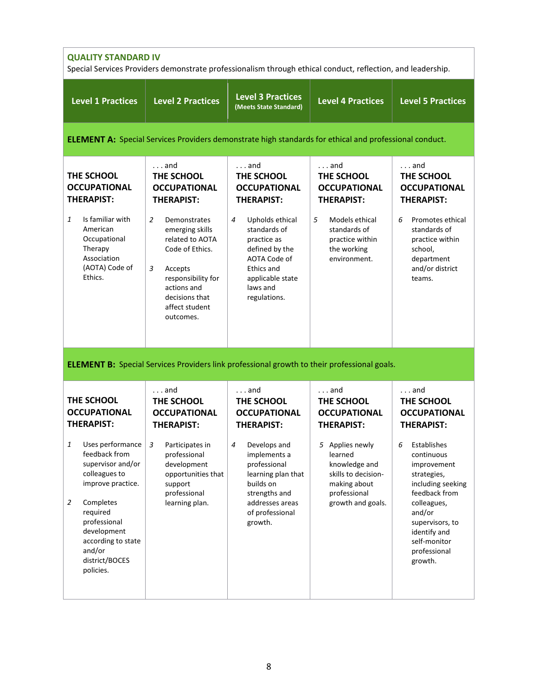| <b>QUALITY STANDARD IV</b><br>Special Services Providers demonstrate professionalism through ethical conduct, reflection, and leadership.                                                                                                  |                                                                                                                                                                                                                                                            |                                                                                                                                                                                                                                      |                                                                                                                                                        |                                                                                                                                                                                                           |
|--------------------------------------------------------------------------------------------------------------------------------------------------------------------------------------------------------------------------------------------|------------------------------------------------------------------------------------------------------------------------------------------------------------------------------------------------------------------------------------------------------------|--------------------------------------------------------------------------------------------------------------------------------------------------------------------------------------------------------------------------------------|--------------------------------------------------------------------------------------------------------------------------------------------------------|-----------------------------------------------------------------------------------------------------------------------------------------------------------------------------------------------------------|
| <b>Level 1 Practices</b>                                                                                                                                                                                                                   | <b>Level 2 Practices</b>                                                                                                                                                                                                                                   | <b>Level 3 Practices</b><br>(Meets State Standard)                                                                                                                                                                                   | <b>Level 4 Practices</b>                                                                                                                               | <b>Level 5 Practices</b>                                                                                                                                                                                  |
|                                                                                                                                                                                                                                            |                                                                                                                                                                                                                                                            |                                                                                                                                                                                                                                      | <b>ELEMENT A:</b> Special Services Providers demonstrate high standards for ethical and professional conduct.                                          |                                                                                                                                                                                                           |
| THE SCHOOL<br><b>OCCUPATIONAL</b><br><b>THERAPIST:</b><br>Is familiar with<br>1<br>American<br>Occupational<br>Therapy<br>Association<br>(AOTA) Code of<br>Ethics.                                                                         | $\ldots$ and<br>THE SCHOOL<br><b>OCCUPATIONAL</b><br><b>THERAPIST:</b><br>2<br>Demonstrates<br>emerging skills<br>related to AOTA<br>Code of Ethics.<br>3<br>Accepts<br>responsibility for<br>actions and<br>decisions that<br>affect student<br>outcomes. | $\ldots$ and<br>THE SCHOOL<br><b>OCCUPATIONAL</b><br><b>THERAPIST:</b><br>Upholds ethical<br>4<br>standards of<br>practice as<br>defined by the<br>AOTA Code of<br><b>Ethics and</b><br>applicable state<br>laws and<br>regulations. | and<br>THE SCHOOL<br><b>OCCUPATIONAL</b><br><b>THERAPIST:</b><br>5<br>Models ethical<br>standards of<br>practice within<br>the working<br>environment. | $\ldots$ and<br>THE SCHOOL<br><b>OCCUPATIONAL</b><br><b>THERAPIST:</b><br>Promotes ethical<br>6<br>standards of<br>practice within<br>school,<br>department<br>and/or district<br>teams.                  |
|                                                                                                                                                                                                                                            |                                                                                                                                                                                                                                                            |                                                                                                                                                                                                                                      | <b>ELEMENT B:</b> Special Services Providers link professional growth to their professional goals.                                                     |                                                                                                                                                                                                           |
| THE SCHOOL<br><b>OCCUPATIONAL</b><br><b>THERAPIST:</b>                                                                                                                                                                                     | $\ldots$ and<br>THE SCHOOL<br><b>OCCUPATIONAL</b><br><b>THERAPIST:</b>                                                                                                                                                                                     | $\ldots$ and<br>THE SCHOOL<br><b>OCCUPATIONAL</b><br><b>THERAPIST:</b>                                                                                                                                                               | $\ldots$ and<br>THE SCHOOL<br><b>OCCUPATIONAL</b><br><b>THERAPIST:</b>                                                                                 | $\ldots$ and<br>THE SCHOOL<br><b>OCCUPATIONAL</b><br><b>THERAPIST:</b>                                                                                                                                    |
| Uses performance<br>1<br>feedback from<br>supervisor and/or<br>colleagues to<br>improve practice.<br>Completes<br>$\overline{2}$<br>required<br>professional<br>development<br>according to state<br>and/or<br>district/BOCES<br>policies. | Participates in<br>3<br>professional<br>development<br>opportunities that<br>support<br>professional<br>learning plan.                                                                                                                                     | Develops and<br>4<br>implements a<br>professional<br>learning plan that<br>builds on<br>strengths and<br>addresses areas<br>of professional<br>growth.                                                                               | 5 Applies newly<br>learned<br>knowledge and<br>skills to decision-<br>making about<br>professional<br>growth and goals.                                | Establishes<br>6<br>continuous<br>improvement<br>strategies,<br>including seeking<br>feedback from<br>colleagues,<br>and/or<br>supervisors, to<br>identify and<br>self-monitor<br>professional<br>growth. |